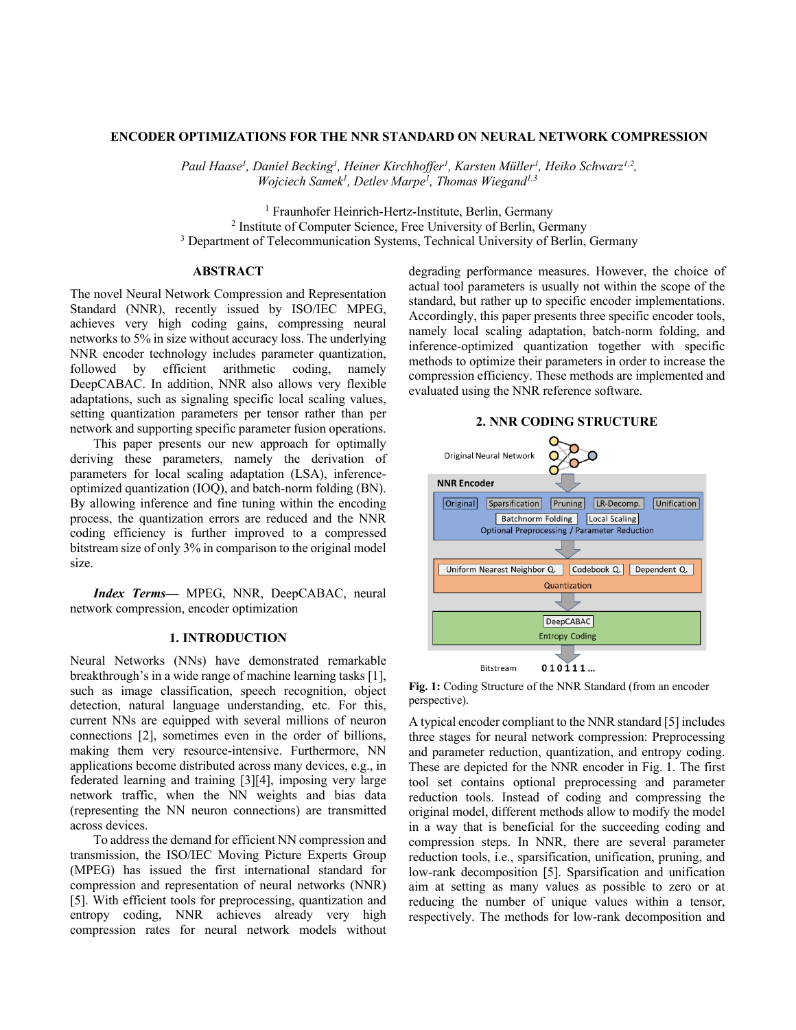# **ENCODER OPTIMIZATIONS FOR THE NNR STANDARD ON NEURAL NETWORK COMPRESSION**

Paul Haase<sup>1</sup>, Daniel Becking<sup>1</sup>, Heiner Kirchhoffer<sup>1</sup>, Karsten Müller<sup>1</sup>, Heiko Schwarz<sup>1,2</sup>, *Wojciech Samek1 , Detlev Marpe1 , Thomas Wiegand1,3*

<sup>1</sup> Fraunhofer Heinrich-Hertz-Institute, Berlin, Germany <sup>2</sup> Institute of Computer Science, Free University of Berlin, Germany <sup>3</sup> Department of Telecommunication Systems, Technical University of Berlin, Germany

# **ABSTRACT**

The novel Neural Network Compression and Representation Standard (NNR), recently issued by ISO/IEC MPEG, achieves very high coding gains, compressing neural networks to 5% in size without accuracy loss. The underlying NNR encoder technology includes parameter quantization, followed by efficient arithmetic coding, namely DeepCABAC. In addition, NNR also allows very flexible adaptations, such as signaling specific local scaling values, setting quantization parameters per tensor rather than per network and supporting specific parameter fusion operations.

This paper presents our new approach for optimally deriving these parameters, namely the derivation of parameters for local scaling adaptation (LSA), inferenceoptimized quantization (IOQ), and batch-norm folding (BN). By allowing inference and fine tuning within the encoding process, the quantization errors are reduced and the NNR coding efficiency is further improved to a compressed bitstream size of only 3% in comparison to the original model size.

*Index Terms—* MPEG, NNR, DeepCABAC, neural network compression, encoder optimization

## **1. INTRODUCTION**

Neural Networks (NNs) have demonstrated remarkable breakthrough's in a wide range of machine learning tasks [1], such as image classification, speech recognition, object detection, natural language understanding, etc. For this, current NNs are equipped with several millions of neuron connections [2], sometimes even in the order of billions, making them very resource-intensive. Furthermore, NN applications become distributed across many devices, e.g., in federated learning and training [3][4], imposing very large network traffic, when the NN weights and bias data (representing the NN neuron connections) are transmitted across devices.

To address the demand for efficient NN compression and transmission, the ISO/IEC Moving Picture Experts Group (MPEG) has issued the first international standard for compression and representation of neural networks (NNR) [5]. With efficient tools for preprocessing, quantization and entropy coding, NNR achieves already very high compression rates for neural network models without

degrading performance measures. However, the choice of actual tool parameters is usually not within the scope of the standard, but rather up to specific encoder implementations. Accordingly, this paper presents three specific encoder tools, namely local scaling adaptation, batch-norm folding, and inference-optimized quantization together with specific methods to optimize their parameters in order to increase the compression efficiency. These methods are implemented and evaluated using the NNR reference software.



**Fig. 1:** Coding Structure of the NNR Standard (from an encoder perspective).

A typical encoder compliant to the NNR standard [5] includes three stages for neural network compression: Preprocessing and parameter reduction, quantization, and entropy coding. These are depicted for the NNR encoder in Fig. 1. The first tool set contains optional preprocessing and parameter reduction tools. Instead of coding and compressing the original model, different methods allow to modify the model in a way that is beneficial for the succeeding coding and compression steps. In NNR, there are several parameter reduction tools, i.e., sparsification, unification, pruning, and low-rank decomposition [5]. Sparsification and unification aim at setting as many values as possible to zero or at reducing the number of unique values within a tensor, respectively. The methods for low-rank decomposition and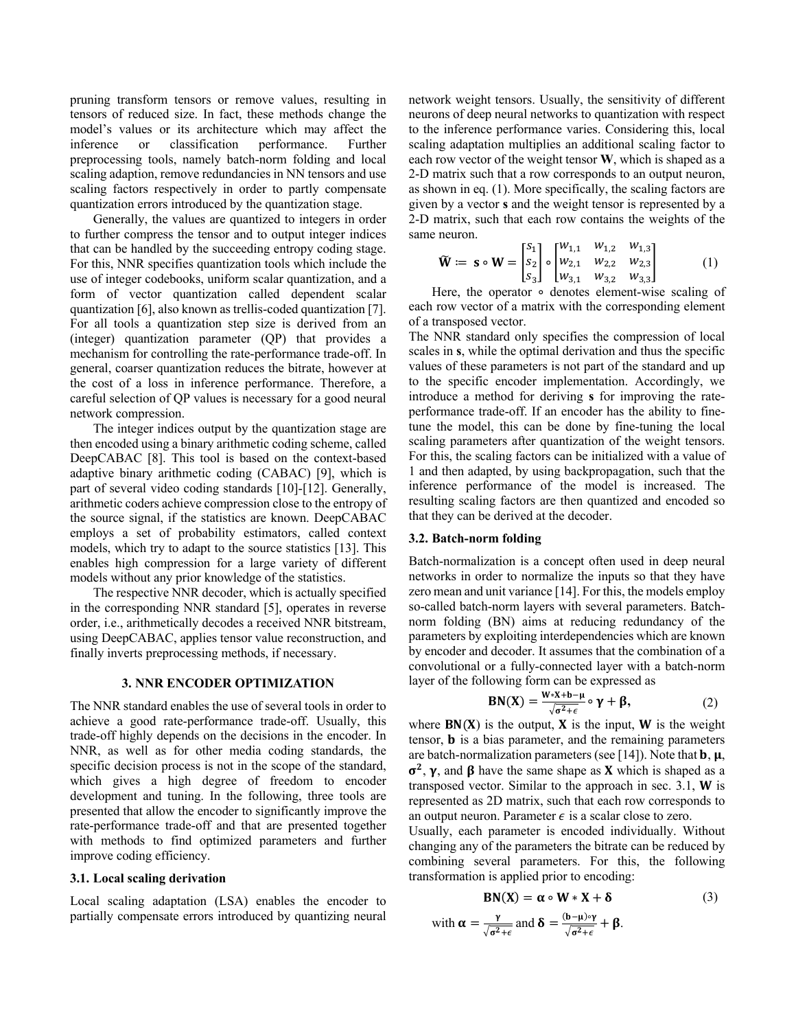pruning transform tensors or remove values, resulting in tensors of reduced size. In fact, these methods change the model's values or its architecture which may affect the inference or classification performance. Further preprocessing tools, namely batch-norm folding and local scaling adaption, remove redundancies in NN tensors and use scaling factors respectively in order to partly compensate quantization errors introduced by the quantization stage.

Generally, the values are quantized to integers in order to further compress the tensor and to output integer indices that can be handled by the succeeding entropy coding stage. For this, NNR specifies quantization tools which include the use of integer codebooks, uniform scalar quantization, and a form of vector quantization called dependent scalar quantization [6], also known as trellis-coded quantization [7]. For all tools a quantization step size is derived from an (integer) quantization parameter (QP) that provides a mechanism for controlling the rate-performance trade-off. In general, coarser quantization reduces the bitrate, however at the cost of a loss in inference performance. Therefore, a careful selection of QP values is necessary for a good neural network compression.

The integer indices output by the quantization stage are then encoded using a binary arithmetic coding scheme, called DeepCABAC [8]. This tool is based on the context-based adaptive binary arithmetic coding (CABAC) [9], which is part of several video coding standards [10]-[12]. Generally, arithmetic coders achieve compression close to the entropy of the source signal, if the statistics are known. DeepCABAC employs a set of probability estimators, called context models, which try to adapt to the source statistics [13]. This enables high compression for a large variety of different models without any prior knowledge of the statistics.

The respective NNR decoder, which is actually specified in the corresponding NNR standard [5], operates in reverse order, i.e., arithmetically decodes a received NNR bitstream, using DeepCABAC, applies tensor value reconstruction, and finally inverts preprocessing methods, if necessary.

# **3. NNR ENCODER OPTIMIZATION**

The NNR standard enables the use of several tools in order to achieve a good rate-performance trade-off. Usually, this trade-off highly depends on the decisions in the encoder. In NNR, as well as for other media coding standards, the specific decision process is not in the scope of the standard, which gives a high degree of freedom to encoder development and tuning. In the following, three tools are presented that allow the encoder to significantly improve the rate-performance trade-off and that are presented together with methods to find optimized parameters and further improve coding efficiency.

## **3.1. Local scaling derivation**

Local scaling adaptation (LSA) enables the encoder to partially compensate errors introduced by quantizing neural network weight tensors. Usually, the sensitivity of different neurons of deep neural networks to quantization with respect to the inference performance varies. Considering this, local scaling adaptation multiplies an additional scaling factor to each row vector of the weight tensor **W**, which is shaped as a 2-D matrix such that a row corresponds to an output neuron, as shown in eq. (1). More specifically, the scaling factors are given by a vector **s** and the weight tensor is represented by a 2-D matrix, such that each row contains the weights of the same neuron.

$$
\widetilde{\mathbf{W}} := \mathbf{s} \circ \mathbf{W} = \begin{bmatrix} s_1 \\ s_2 \\ s_3 \end{bmatrix} \circ \begin{bmatrix} w_{1,1} & w_{1,2} & w_{1,3} \\ w_{2,1} & w_{2,2} & w_{2,3} \\ w_{3,1} & w_{3,2} & w_{3,3} \end{bmatrix}
$$
 (1)

Here, the operator ∘ denotes element-wise scaling of each row vector of a matrix with the corresponding element of a transposed vector.

The NNR standard only specifies the compression of local scales in **s**, while the optimal derivation and thus the specific values of these parameters is not part of the standard and up to the specific encoder implementation. Accordingly, we introduce a method for deriving **s** for improving the rateperformance trade-off. If an encoder has the ability to finetune the model, this can be done by fine-tuning the local scaling parameters after quantization of the weight tensors. For this, the scaling factors can be initialized with a value of 1 and then adapted, by using backpropagation, such that the inference performance of the model is increased. The resulting scaling factors are then quantized and encoded so that they can be derived at the decoder.

## **3.2. Batch-norm folding**

with  $\alpha$ 

Batch-normalization is a concept often used in deep neural networks in order to normalize the inputs so that they have zero mean and unit variance [14]. For this, the models employ so-called batch-norm layers with several parameters. Batchnorm folding (BN) aims at reducing redundancy of the parameters by exploiting interdependencies which are known by encoder and decoder. It assumes that the combination of a convolutional or a fully-connected layer with a batch-norm layer of the following form can be expressed as

$$
BN(X) = \frac{W*X+b-\mu}{\sqrt{\sigma^2+\epsilon}} \circ \gamma + \beta,
$$
 (2)

where  $BN(X)$  is the output,  $X$  is the input,  $W$  is the weight tensor,  $\bf{b}$  is a bias parameter, and the remaining parameters are batch-normalization parameters (see [14]). Note that  $\mathbf{b}, \mathbf{\mu}$ ,  $\sigma^2$ ,  $\gamma$ , and  $\beta$  have the same shape as **X** which is shaped as a transposed vector. Similar to the approach in sec.  $3.1$ , **W** is represented as 2D matrix, such that each row corresponds to an output neuron. Parameter  $\epsilon$  is a scalar close to zero.

Usually, each parameter is encoded individually. Without changing any of the parameters the bitrate can be reduced by combining several parameters. For this, the following transformation is applied prior to encoding:

$$
BN(X) = \alpha \circ W * X + \delta
$$
 (3)  
=  $\frac{\gamma}{\sqrt{\sigma^2 + \epsilon}}$  and  $\delta = \frac{(b - \mu) \circ \gamma}{\sqrt{\sigma^2 + \epsilon}} + \beta$ .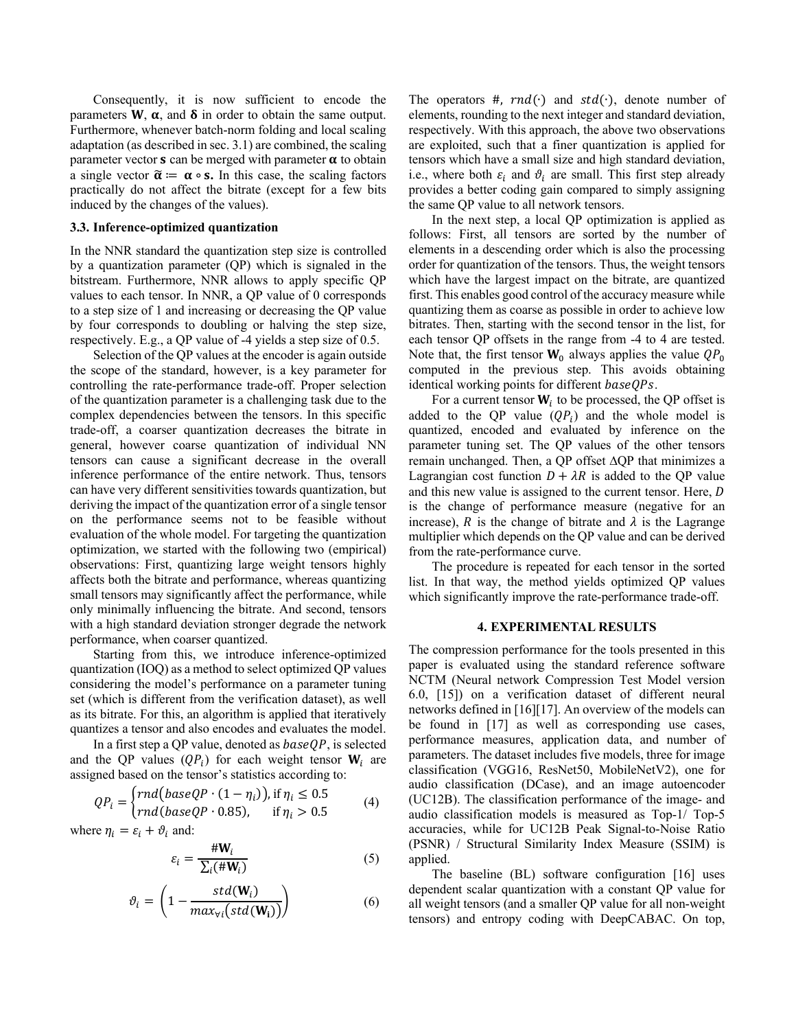Consequently, it is now sufficient to encode the parameters  $W$ ,  $\alpha$ , and  $\delta$  in order to obtain the same output. Furthermore, whenever batch-norm folding and local scaling adaptation (as described in sec. 3.1) are combined, the scaling parameter vector  $s$  can be merged with parameter  $\alpha$  to obtain a single vector  $\tilde{\alpha} := \alpha \circ s$ . In this case, the scaling factors practically do not affect the bitrate (except for a few bits induced by the changes of the values).

# **3.3. Inference-optimized quantization**

In the NNR standard the quantization step size is controlled by a quantization parameter (QP) which is signaled in the bitstream. Furthermore, NNR allows to apply specific QP values to each tensor. In NNR, a QP value of 0 corresponds to a step size of 1 and increasing or decreasing the QP value by four corresponds to doubling or halving the step size, respectively. E.g., a QP value of -4 yields a step size of 0.5.

Selection of the QP values at the encoder is again outside the scope of the standard, however, is a key parameter for controlling the rate-performance trade-off. Proper selection of the quantization parameter is a challenging task due to the complex dependencies between the tensors. In this specific trade-off, a coarser quantization decreases the bitrate in general, however coarse quantization of individual NN tensors can cause a significant decrease in the overall inference performance of the entire network. Thus, tensors can have very different sensitivities towards quantization, but deriving the impact of the quantization error of a single tensor on the performance seems not to be feasible without evaluation of the whole model. For targeting the quantization optimization, we started with the following two (empirical) observations: First, quantizing large weight tensors highly affects both the bitrate and performance, whereas quantizing small tensors may significantly affect the performance, while only minimally influencing the bitrate. And second, tensors with a high standard deviation stronger degrade the network performance, when coarser quantized.

Starting from this, we introduce inference-optimized quantization (IOQ) as a method to select optimized QP values considering the model's performance on a parameter tuning set (which is different from the verification dataset), as well as its bitrate. For this, an algorithm is applied that iteratively quantizes a tensor and also encodes and evaluates the model.

In a first step a QP value, denoted as  $baseQP$ , is selected and the QP values  $(QP_i)$  for each weight tensor  $W_i$  are assigned based on the tensor's statistics according to:

$$
QP_i = \begin{cases} rnd(baseQP \cdot (1 - \eta_i)), \text{ if } \eta_i \le 0.5\\ rnd(baseQP \cdot 0.85), & \text{ if } \eta_i > 0.5 \end{cases} \tag{4}
$$

where  $\eta_i = \varepsilon_i + \vartheta_i$  and:

$$
\varepsilon_i = \frac{\# \mathbf{W}_i}{\sum_i (\# \mathbf{W}_i)}\tag{5}
$$

$$
\vartheta_i = \left(1 - \frac{std(\mathbf{W}_i)}{max_{\forall i}(std(\mathbf{W}_i))}\right) \tag{6}
$$

The operators #,  $rnd(·)$  and  $std(·)$ , denote number of elements, rounding to the next integer and standard deviation, respectively. With this approach, the above two observations are exploited, such that a finer quantization is applied for tensors which have a small size and high standard deviation, i.e., where both  $\varepsilon_i$  and  $\vartheta_i$  are small. This first step already provides a better coding gain compared to simply assigning the same QP value to all network tensors.

In the next step, a local QP optimization is applied as follows: First, all tensors are sorted by the number of elements in a descending order which is also the processing order for quantization of the tensors. Thus, the weight tensors which have the largest impact on the bitrate, are quantized first. This enables good control of the accuracy measure while quantizing them as coarse as possible in order to achieve low bitrates. Then, starting with the second tensor in the list, for each tensor QP offsets in the range from -4 to 4 are tested. Note that, the first tensor  $W_0$  always applies the value  $QP_0$ computed in the previous step. This avoids obtaining identical working points for different  $baseQPs$ .

For a current tensor  $W_i$  to be processed, the QP offset is added to the QP value  $(QP_i)$  and the whole model is quantized, encoded and evaluated by inference on the parameter tuning set. The QP values of the other tensors remain unchanged. Then, a QP offset  $\Delta QP$  that minimizes a Lagrangian cost function  $D + \lambda R$  is added to the QP value and this new value is assigned to the current tensor. Here, D is the change of performance measure (negative for an increase), R is the change of bitrate and  $\lambda$  is the Lagrange multiplier which depends on the QP value and can be derived from the rate-performance curve.

The procedure is repeated for each tensor in the sorted list. In that way, the method yields optimized QP values which significantly improve the rate-performance trade-off.

#### **4. EXPERIMENTAL RESULTS**

The compression performance for the tools presented in this paper is evaluated using the standard reference software NCTM (Neural network Compression Test Model version 6.0, [15]) on a verification dataset of different neural networks defined in [16][17]. An overview of the models can be found in [17] as well as corresponding use cases, performance measures, application data, and number of parameters. The dataset includes five models, three for image classification (VGG16, ResNet50, MobileNetV2), one for audio classification (DCase), and an image autoencoder (UC12B). The classification performance of the image- and audio classification models is measured as Top-1/ Top-5 accuracies, while for UC12B Peak Signal-to-Noise Ratio (PSNR) / Structural Similarity Index Measure (SSIM) is applied.

The baseline (BL) software configuration [16] uses dependent scalar quantization with a constant QP value for all weight tensors (and a smaller QP value for all non-weight tensors) and entropy coding with DeepCABAC. On top,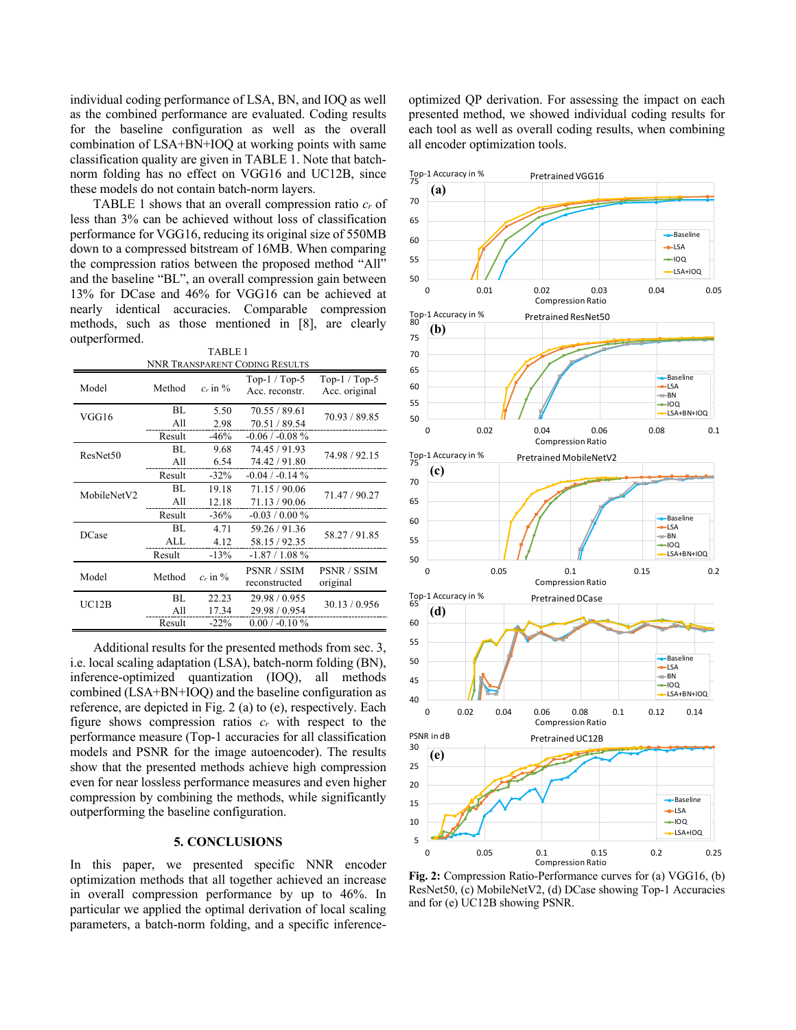individual coding performance of LSA, BN, and IOQ as well as the combined performance are evaluated. Coding results for the baseline configuration as well as the overall combination of LSA+BN+IOQ at working points with same classification quality are given in TABLE 1. Note that batchnorm folding has no effect on VGG16 and UC12B, since these models do not contain batch-norm layers.

TABLE 1 shows that an overall compression ratio *cr* of less than 3% can be achieved without loss of classification performance for VGG16, reducing its original size of 550MB down to a compressed bitstream of 16MB. When comparing the compression ratios between the proposed method "All" and the baseline "BL", an overall compression gain between 13% for DCase and 46% for VGG16 can be achieved at nearly identical accuracies. Comparable compression methods, such as those mentioned in [8], are clearly outperformed. TABLE 1

| TADLE I                        |        |                         |                    |                    |
|--------------------------------|--------|-------------------------|--------------------|--------------------|
| NNR TRANSPARENT CODING RESULTS |        |                         |                    |                    |
| Model                          | Method | $c_r$ in $\%$           | Top- $1/Top-5$     | Top- $1/T$ op- $5$ |
|                                |        |                         | Acc. reconstr.     | Acc. original      |
| VGG16                          | BL     | 5.50                    | 70.55 / 89.61      | 70.93 / 89.85      |
|                                | All    | 2.98                    | 70.51 / 89.54      |                    |
|                                | Result | $-46%$                  | $-0.06/ -0.08 \%$  |                    |
| ResNet50                       | BL     | 9.68                    | 74.45 / 91.93      | 74.98 / 92.15      |
|                                | All    | 6.54                    | 74.42 / 91.80      |                    |
|                                | Result | $-32%$                  | $-0.04 / -0.14 \%$ |                    |
| MobileNetV2                    | BL     | 19.18                   | 71.15 / 90.06      | 71.47 / 90.27      |
|                                | All    | 12.18                   | 71.13 / 90.06      |                    |
|                                | Result | $-36%$                  | $-0.03 / 0.00 \%$  |                    |
| DCase                          | BL     | 4.71                    | 59.26 / 91.36      | 58.27/91.85        |
|                                | ALL    | 4.12                    | 58.15 / 92.35      |                    |
|                                | Result | $-13%$                  | $-1.87/1.08%$      |                    |
| Model                          |        | Method<br>$c_r$ in $\%$ | <b>PSNR / SSIM</b> | PSNR / SSIM        |
|                                |        |                         | reconstructed      | original           |
| UC12B                          | BL     | 22.23                   | 29.98 / 0.955      | 30.13 / 0.956      |
|                                | All    | 17.34                   | 29.98 / 0.954      |                    |
|                                | Result | $-22%$                  | $0.00 / -0.10 \%$  |                    |

Additional results for the presented methods from sec. 3, i.e. local scaling adaptation (LSA), batch-norm folding (BN), inference-optimized quantization (IOQ), all methods combined (LSA+BN+IOQ) and the baseline configuration as reference, are depicted in Fig. 2 (a) to (e), respectively. Each figure shows compression ratios *cr* with respect to the performance measure (Top-1 accuracies for all classification models and PSNR for the image autoencoder). The results show that the presented methods achieve high compression even for near lossless performance measures and even higher compression by combining the methods, while significantly outperforming the baseline configuration.

## **5. CONCLUSIONS**

In this paper, we presented specific NNR encoder optimization methods that all together achieved an increase in overall compression performance by up to 46%. In particular we applied the optimal derivation of local scaling parameters, a batch-norm folding, and a specific inferenceoptimized QP derivation. For assessing the impact on each presented method, we showed individual coding results for each tool as well as overall coding results, when combining all encoder optimization tools.



**Fig. 2:** Compression Ratio-Performance curves for (a) VGG16, (b) ResNet50, (c) MobileNetV2, (d) DCase showing Top-1 Accuracies and for (e) UC12B showing PSNR.